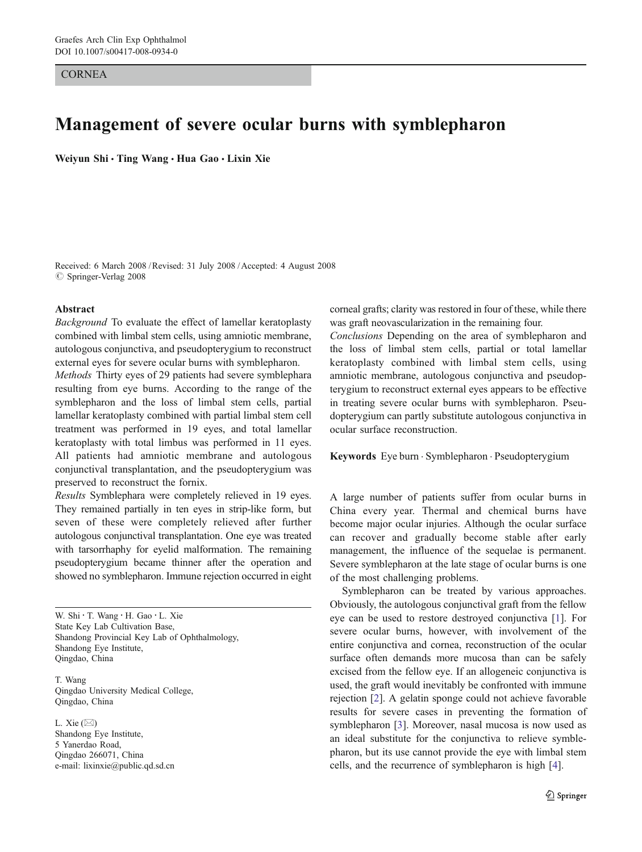**CORNEA** 

# Management of severe ocular burns with symblepharon

Weiyun Shi · Ting Wang · Hua Gao · Lixin Xie

Received: 6 March 2008 /Revised: 31 July 2008 /Accepted: 4 August 2008  $\oslash$  Springer-Verlag 2008

#### Abstract

Background To evaluate the effect of lamellar keratoplasty combined with limbal stem cells, using amniotic membrane, autologous conjunctiva, and pseudopterygium to reconstruct external eyes for severe ocular burns with symblepharon.

Methods Thirty eyes of 29 patients had severe symblephara resulting from eye burns. According to the range of the symblepharon and the loss of limbal stem cells, partial lamellar keratoplasty combined with partial limbal stem cell treatment was performed in 19 eyes, and total lamellar keratoplasty with total limbus was performed in 11 eyes. All patients had amniotic membrane and autologous conjunctival transplantation, and the pseudopterygium was preserved to reconstruct the fornix.

Results Symblephara were completely relieved in 19 eyes. They remained partially in ten eyes in strip-like form, but seven of these were completely relieved after further autologous conjunctival transplantation. One eye was treated with tarsorrhaphy for eyelid malformation. The remaining pseudopterygium became thinner after the operation and showed no symblepharon. Immune rejection occurred in eight

W. Shi : T. Wang : H. Gao : L. Xie State Key Lab Cultivation Base, Shandong Provincial Key Lab of Ophthalmology, Shandong Eye Institute, Qingdao, China

T. Wang Qingdao University Medical College, Qingdao, China

L. Xie (*\**) Shandong Eye Institute, 5 Yanerdao Road, Qingdao 266071, China e-mail: lixinxie@public.qd.sd.cn corneal grafts; clarity was restored in four of these, while there was graft neovascularization in the remaining four.

Conclusions Depending on the area of symblepharon and the loss of limbal stem cells, partial or total lamellar keratoplasty combined with limbal stem cells, using amniotic membrane, autologous conjunctiva and pseudopterygium to reconstruct external eyes appears to be effective in treating severe ocular burns with symblepharon. Pseudopterygium can partly substitute autologous conjunctiva in ocular surface reconstruction.

Keywords Eye burn . Symblepharon . Pseudopterygium

A large number of patients suffer from ocular burns in China every year. Thermal and chemical burns have become major ocular injuries. Although the ocular surface can recover and gradually become stable after early management, the influence of the sequelae is permanent. Severe symblepharon at the late stage of ocular burns is one of the most challenging problems.

Symblepharon can be treated by various approaches. Obviously, the autologous conjunctival graft from the fellow eye can be used to restore destroyed conjunctiva [\[1](#page-5-0)]. For severe ocular burns, however, with involvement of the entire conjunctiva and cornea, reconstruction of the ocular surface often demands more mucosa than can be safely excised from the fellow eye. If an allogeneic conjunctiva is used, the graft would inevitably be confronted with immune rejection [[2\]](#page-5-0). A gelatin sponge could not achieve favorable results for severe cases in preventing the formation of symblepharon [[3\]](#page-5-0). Moreover, nasal mucosa is now used as an ideal substitute for the conjunctiva to relieve symblepharon, but its use cannot provide the eye with limbal stem cells, and the recurrence of symblepharon is high [[4\]](#page-5-0).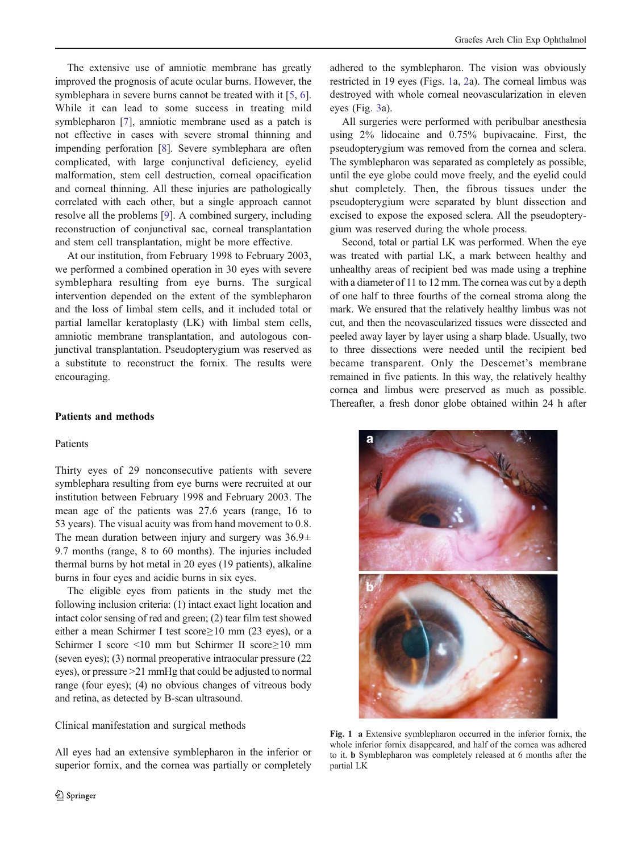<span id="page-1-0"></span>The extensive use of amniotic membrane has greatly improved the prognosis of acute ocular burns. However, the symblephara in severe burns cannot be treated with it [\[5](#page-5-0), [6](#page-5-0)]. While it can lead to some success in treating mild symblepharon [[7\]](#page-5-0), amniotic membrane used as a patch is not effective in cases with severe stromal thinning and impending perforation [[8\]](#page-5-0). Severe symblephara are often complicated, with large conjunctival deficiency, eyelid malformation, stem cell destruction, corneal opacification and corneal thinning. All these injuries are pathologically correlated with each other, but a single approach cannot resolve all the problems [\[9](#page-5-0)]. A combined surgery, including reconstruction of conjunctival sac, corneal transplantation and stem cell transplantation, might be more effective.

At our institution, from February 1998 to February 2003, we performed a combined operation in 30 eyes with severe symblephara resulting from eye burns. The surgical intervention depended on the extent of the symblepharon and the loss of limbal stem cells, and it included total or partial lamellar keratoplasty (LK) with limbal stem cells, amniotic membrane transplantation, and autologous conjunctival transplantation. Pseudopterygium was reserved as a substitute to reconstruct the fornix. The results were encouraging.

## Patients and methods

### Patients

Thirty eyes of 29 nonconsecutive patients with severe symblephara resulting from eye burns were recruited at our institution between February 1998 and February 2003. The mean age of the patients was 27.6 years (range, 16 to 53 years). The visual acuity was from hand movement to 0.8. The mean duration between injury and surgery was  $36.9\pm$ 9.7 months (range, 8 to 60 months). The injuries included thermal burns by hot metal in 20 eyes (19 patients), alkaline burns in four eyes and acidic burns in six eyes.

The eligible eyes from patients in the study met the following inclusion criteria: (1) intact exact light location and intact color sensing of red and green; (2) tear film test showed either a mean Schirmer I test score≥10 mm (23 eyes), or a Schirmer I score <10 mm but Schirmer II score≥10 mm (seven eyes); (3) normal preoperative intraocular pressure (22 eyes), or pressure >21 mmHg that could be adjusted to normal range (four eyes); (4) no obvious changes of vitreous body and retina, as detected by B-scan ultrasound.

Clinical manifestation and surgical methods

All eyes had an extensive symblepharon in the inferior or superior fornix, and the cornea was partially or completely

adhered to the symblepharon. The vision was obviously restricted in 19 eyes (Figs. 1a, [2](#page-2-0)a). The corneal limbus was destroyed with whole corneal neovascularization in eleven eyes (Fig. [3](#page-2-0)a).

All surgeries were performed with peribulbar anesthesia using 2% lidocaine and 0.75% bupivacaine. First, the pseudopterygium was removed from the cornea and sclera. The symblepharon was separated as completely as possible, until the eye globe could move freely, and the eyelid could shut completely. Then, the fibrous tissues under the pseudopterygium were separated by blunt dissection and excised to expose the exposed sclera. All the pseudopterygium was reserved during the whole process.

Second, total or partial LK was performed. When the eye was treated with partial LK, a mark between healthy and unhealthy areas of recipient bed was made using a trephine with a diameter of 11 to 12 mm. The cornea was cut by a depth of one half to three fourths of the corneal stroma along the mark. We ensured that the relatively healthy limbus was not cut, and then the neovascularized tissues were dissected and peeled away layer by layer using a sharp blade. Usually, two to three dissections were needed until the recipient bed became transparent. Only the Descemet's membrane remained in five patients. In this way, the relatively healthy cornea and limbus were preserved as much as possible. Thereafter, a fresh donor globe obtained within 24 h after



Fig. 1 a Extensive symblepharon occurred in the inferior fornix, the whole inferior fornix disappeared, and half of the cornea was adhered to it. b Symblepharon was completely released at 6 months after the partial LK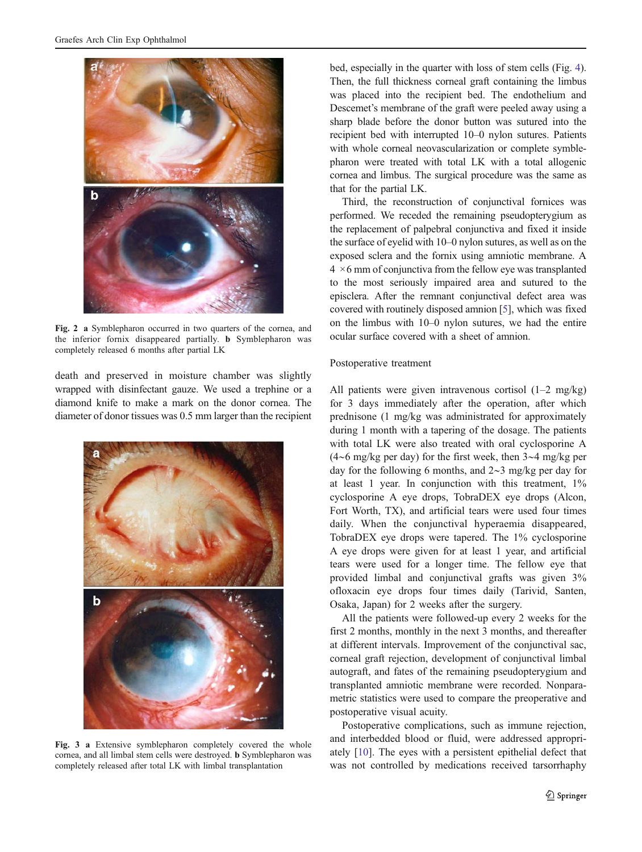<span id="page-2-0"></span>

Fig. 2 a Symblepharon occurred in two quarters of the cornea, and the inferior fornix disappeared partially. b Symblepharon was completely released 6 months after partial LK

death and preserved in moisture chamber was slightly wrapped with disinfectant gauze. We used a trephine or a diamond knife to make a mark on the donor cornea. The diameter of donor tissues was 0.5 mm larger than the recipient



Fig. 3 a Extensive symblepharon completely covered the whole cornea, and all limbal stem cells were destroyed. b Symblepharon was completely released after total LK with limbal transplantation

bed, especially in the quarter with loss of stem cells (Fig. [4\)](#page-3-0). Then, the full thickness corneal graft containing the limbus was placed into the recipient bed. The endothelium and Descemet's membrane of the graft were peeled away using a sharp blade before the donor button was sutured into the recipient bed with interrupted 10–0 nylon sutures. Patients with whole corneal neovascularization or complete symblepharon were treated with total LK with a total allogenic cornea and limbus. The surgical procedure was the same as that for the partial LK.

Third, the reconstruction of conjunctival fornices was performed. We receded the remaining pseudopterygium as the replacement of palpebral conjunctiva and fixed it inside the surface of eyelid with 10–0 nylon sutures, as well as on the exposed sclera and the fornix using amniotic membrane. A  $4 \times 6$  mm of conjunctiva from the fellow eye was transplanted to the most seriously impaired area and sutured to the episclera. After the remnant conjunctival defect area was covered with routinely disposed amnion [\[5](#page-5-0)], which was fixed on the limbus with 10–0 nylon sutures, we had the entire ocular surface covered with a sheet of amnion.

## Postoperative treatment

All patients were given intravenous cortisol (1–2 mg/kg) for 3 days immediately after the operation, after which prednisone (1 mg/kg was administrated for approximately during 1 month with a tapering of the dosage. The patients with total LK were also treated with oral cyclosporine A (4∼6 mg/kg per day) for the first week, then 3∼4 mg/kg per day for the following 6 months, and 2∼3 mg/kg per day for at least 1 year. In conjunction with this treatment, 1% cyclosporine A eye drops, TobraDEX eye drops (Alcon, Fort Worth, TX), and artificial tears were used four times daily. When the conjunctival hyperaemia disappeared, TobraDEX eye drops were tapered. The 1% cyclosporine A eye drops were given for at least 1 year, and artificial tears were used for a longer time. The fellow eye that provided limbal and conjunctival grafts was given 3% ofloxacin eye drops four times daily (Tarivid, Santen, Osaka, Japan) for 2 weeks after the surgery.

All the patients were followed-up every 2 weeks for the first 2 months, monthly in the next 3 months, and thereafter at different intervals. Improvement of the conjunctival sac, corneal graft rejection, development of conjunctival limbal autograft, and fates of the remaining pseudopterygium and transplanted amniotic membrane were recorded. Nonparametric statistics were used to compare the preoperative and postoperative visual acuity.

Postoperative complications, such as immune rejection, and interbedded blood or fluid, were addressed appropriately [\[10](#page-5-0)]. The eyes with a persistent epithelial defect that was not controlled by medications received tarsorrhaphy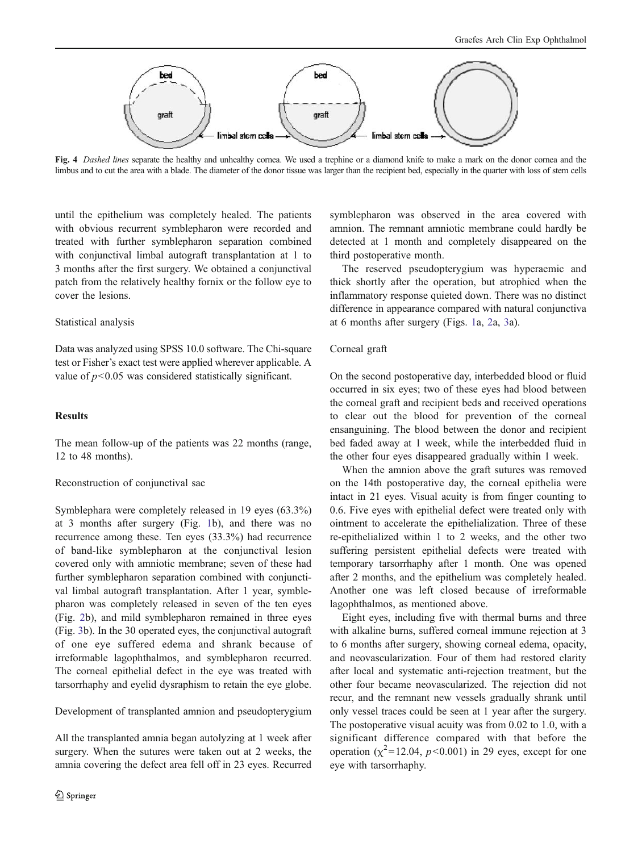<span id="page-3-0"></span>

Fig. 4 Dashed lines separate the healthy and unhealthy cornea. We used a trephine or a diamond knife to make a mark on the donor cornea and the limbus and to cut the area with a blade. The diameter of the donor tissue was larger than the recipient bed, especially in the quarter with loss of stem cells

until the epithelium was completely healed. The patients with obvious recurrent symblepharon were recorded and treated with further symblepharon separation combined with conjunctival limbal autograft transplantation at 1 to 3 months after the first surgery. We obtained a conjunctival patch from the relatively healthy fornix or the follow eye to cover the lesions.

## Statistical analysis

Data was analyzed using SPSS 10.0 software. The Chi-square test or Fisher's exact test were applied wherever applicable. A value of  $p<0.05$  was considered statistically significant.

# Results

The mean follow-up of the patients was 22 months (range, 12 to 48 months).

# Reconstruction of conjunctival sac

Symblephara were completely released in 19 eyes (63.3%) at 3 months after surgery (Fig. [1b](#page-1-0)), and there was no recurrence among these. Ten eyes (33.3%) had recurrence of band-like symblepharon at the conjunctival lesion covered only with amniotic membrane; seven of these had further symblepharon separation combined with conjunctival limbal autograft transplantation. After 1 year, symblepharon was completely released in seven of the ten eyes (Fig. [2](#page-2-0)b), and mild symblepharon remained in three eyes (Fig. [3](#page-2-0)b). In the 30 operated eyes, the conjunctival autograft of one eye suffered edema and shrank because of irreformable lagophthalmos, and symblepharon recurred. The corneal epithelial defect in the eye was treated with tarsorrhaphy and eyelid dysraphism to retain the eye globe.

Development of transplanted amnion and pseudopterygium

All the transplanted amnia began autolyzing at 1 week after surgery. When the sutures were taken out at 2 weeks, the amnia covering the defect area fell off in 23 eyes. Recurred symblepharon was observed in the area covered with amnion. The remnant amniotic membrane could hardly be detected at 1 month and completely disappeared on the third postoperative month.

The reserved pseudopterygium was hyperaemic and thick shortly after the operation, but atrophied when the inflammatory response quieted down. There was no distinct difference in appearance compared with natural conjunctiva at 6 months after surgery (Figs. [1](#page-1-0)a, [2](#page-2-0)a, [3a](#page-2-0)).

# Corneal graft

On the second postoperative day, interbedded blood or fluid occurred in six eyes; two of these eyes had blood between the corneal graft and recipient beds and received operations to clear out the blood for prevention of the corneal ensanguining. The blood between the donor and recipient bed faded away at 1 week, while the interbedded fluid in the other four eyes disappeared gradually within 1 week.

When the amnion above the graft sutures was removed on the 14th postoperative day, the corneal epithelia were intact in 21 eyes. Visual acuity is from finger counting to 0.6. Five eyes with epithelial defect were treated only with ointment to accelerate the epithelialization. Three of these re-epithelialized within 1 to 2 weeks, and the other two suffering persistent epithelial defects were treated with temporary tarsorrhaphy after 1 month. One was opened after 2 months, and the epithelium was completely healed. Another one was left closed because of irreformable lagophthalmos, as mentioned above.

Eight eyes, including five with thermal burns and three with alkaline burns, suffered corneal immune rejection at 3 to 6 months after surgery, showing corneal edema, opacity, and neovascularization. Four of them had restored clarity after local and systematic anti-rejection treatment, but the other four became neovascularized. The rejection did not recur, and the remnant new vessels gradually shrank until only vessel traces could be seen at 1 year after the surgery. The postoperative visual acuity was from 0.02 to 1.0, with a significant difference compared with that before the operation ( $\chi^2$ =12.04, *p*<0.001) in 29 eyes, except for one eye with tarsorrhaphy.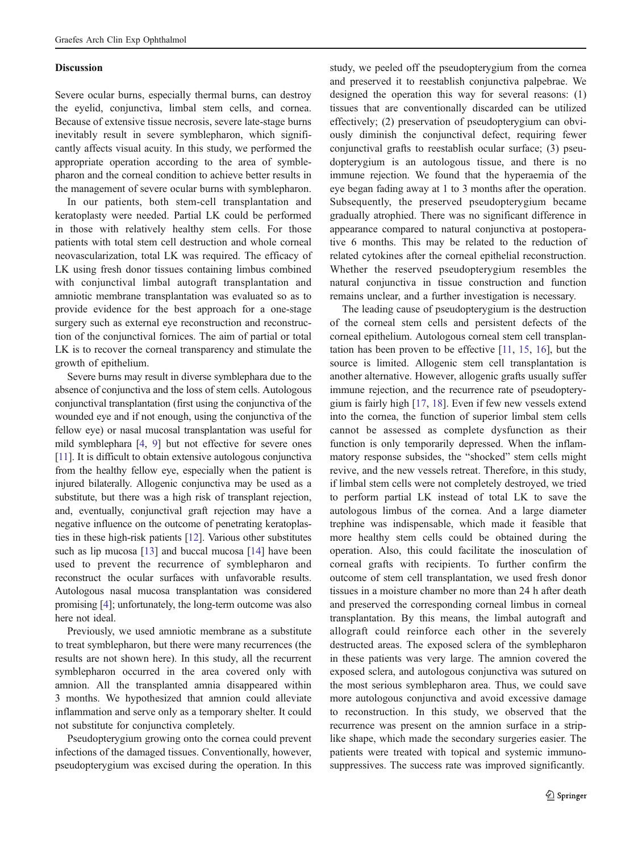#### **Discussion**

Severe ocular burns, especially thermal burns, can destroy the eyelid, conjunctiva, limbal stem cells, and cornea. Because of extensive tissue necrosis, severe late-stage burns inevitably result in severe symblepharon, which significantly affects visual acuity. In this study, we performed the appropriate operation according to the area of symblepharon and the corneal condition to achieve better results in the management of severe ocular burns with symblepharon.

In our patients, both stem-cell transplantation and keratoplasty were needed. Partial LK could be performed in those with relatively healthy stem cells. For those patients with total stem cell destruction and whole corneal neovascularization, total LK was required. The efficacy of LK using fresh donor tissues containing limbus combined with conjunctival limbal autograft transplantation and amniotic membrane transplantation was evaluated so as to provide evidence for the best approach for a one-stage surgery such as external eye reconstruction and reconstruction of the conjunctival fornices. The aim of partial or total LK is to recover the corneal transparency and stimulate the growth of epithelium.

Severe burns may result in diverse symblephara due to the absence of conjunctiva and the loss of stem cells. Autologous conjunctival transplantation (first using the conjunctiva of the wounded eye and if not enough, using the conjunctiva of the fellow eye) or nasal mucosal transplantation was useful for mild symblephara [\[4](#page-5-0), [9](#page-5-0)] but not effective for severe ones [\[11\]](#page-5-0). It is difficult to obtain extensive autologous conjunctiva from the healthy fellow eye, especially when the patient is injured bilaterally. Allogenic conjunctiva may be used as a substitute, but there was a high risk of transplant rejection, and, eventually, conjunctival graft rejection may have a negative influence on the outcome of penetrating keratoplasties in these high-risk patients [[12](#page-5-0)]. Various other substitutes such as lip mucosa [[13](#page-5-0)] and buccal mucosa [\[14](#page-5-0)] have been used to prevent the recurrence of symblepharon and reconstruct the ocular surfaces with unfavorable results. Autologous nasal mucosa transplantation was considered promising [[4\]](#page-5-0); unfortunately, the long-term outcome was also here not ideal.

Previously, we used amniotic membrane as a substitute to treat symblepharon, but there were many recurrences (the results are not shown here). In this study, all the recurrent symblepharon occurred in the area covered only with amnion. All the transplanted amnia disappeared within 3 months. We hypothesized that amnion could alleviate inflammation and serve only as a temporary shelter. It could not substitute for conjunctiva completely.

Pseudopterygium growing onto the cornea could prevent infections of the damaged tissues. Conventionally, however, pseudopterygium was excised during the operation. In this study, we peeled off the pseudopterygium from the cornea and preserved it to reestablish conjunctiva palpebrae. We designed the operation this way for several reasons: (1) tissues that are conventionally discarded can be utilized effectively; (2) preservation of pseudopterygium can obviously diminish the conjunctival defect, requiring fewer conjunctival grafts to reestablish ocular surface; (3) pseudopterygium is an autologous tissue, and there is no immune rejection. We found that the hyperaemia of the eye began fading away at 1 to 3 months after the operation. Subsequently, the preserved pseudopterygium became gradually atrophied. There was no significant difference in appearance compared to natural conjunctiva at postoperative 6 months. This may be related to the reduction of related cytokines after the corneal epithelial reconstruction. Whether the reserved pseudopterygium resembles the natural conjunctiva in tissue construction and function remains unclear, and a further investigation is necessary.

The leading cause of pseudopterygium is the destruction of the corneal stem cells and persistent defects of the corneal epithelium. Autologous corneal stem cell transplantation has been proven to be effective [[11,](#page-5-0) [15](#page-5-0), [16](#page-5-0)], but the source is limited. Allogenic stem cell transplantation is another alternative. However, allogenic grafts usually suffer immune rejection, and the recurrence rate of pseudopterygium is fairly high [[17,](#page-5-0) [18\]](#page-5-0). Even if few new vessels extend into the cornea, the function of superior limbal stem cells cannot be assessed as complete dysfunction as their function is only temporarily depressed. When the inflammatory response subsides, the "shocked" stem cells might revive, and the new vessels retreat. Therefore, in this study, if limbal stem cells were not completely destroyed, we tried to perform partial LK instead of total LK to save the autologous limbus of the cornea. And a large diameter trephine was indispensable, which made it feasible that more healthy stem cells could be obtained during the operation. Also, this could facilitate the inosculation of corneal grafts with recipients. To further confirm the outcome of stem cell transplantation, we used fresh donor tissues in a moisture chamber no more than 24 h after death and preserved the corresponding corneal limbus in corneal transplantation. By this means, the limbal autograft and allograft could reinforce each other in the severely destructed areas. The exposed sclera of the symblepharon in these patients was very large. The amnion covered the exposed sclera, and autologous conjunctiva was sutured on the most serious symblepharon area. Thus, we could save more autologous conjunctiva and avoid excessive damage to reconstruction. In this study, we observed that the recurrence was present on the amnion surface in a striplike shape, which made the secondary surgeries easier. The patients were treated with topical and systemic immunosuppressives. The success rate was improved significantly.